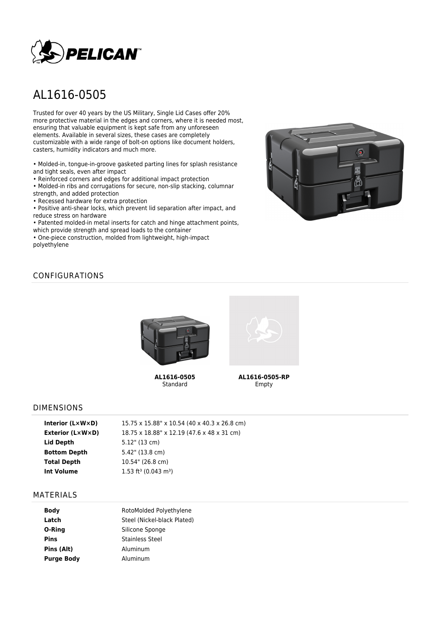

# AL1616-0505

Trusted for over 40 years by the US Military, Single Lid Cases offer 20% more protective material in the edges and corners, where it is needed most, ensuring that valuable equipment is kept safe from any unforeseen elements. Available in several sizes, these cases are completely customizable with a wide range of bolt-on options like document holders, casters, humidity indicators and much more.

• Molded-in, tongue-in-groove gasketed parting lines for splash resistance and tight seals, even after impact

• Reinforced corners and edges for additional impact protection

• Molded-in ribs and corrugations for secure, non-slip stacking, columnar strength, and added protection

• Recessed hardware for extra protection

• Positive anti-shear locks, which prevent lid separation after impact, and reduce stress on hardware

• Patented molded-in metal inserts for catch and hinge attachment points, which provide strength and spread loads to the container

• One-piece construction, molded from lightweight, high-impact polyethylene



## CONFIGURATIONS



**AL1616-0505** Standard



**AL1616-0505-RP** Empty

#### DIMENSIONS

| Interior $(L \times W \times D)$ | 15.75 x 15.88" x 10.54 (40 x 40.3 x 26.8 cm)   |
|----------------------------------|------------------------------------------------|
| Exterior (L×W×D)                 | 18.75 x 18.88" x 12.19 (47.6 x 48 x 31 cm)     |
| Lid Depth                        | $5.12$ " (13 cm)                               |
| <b>Bottom Depth</b>              | 5.42" (13.8 cm)                                |
| <b>Total Depth</b>               | 10.54" (26.8 cm)                               |
| Int Volume                       | $1.53$ ft <sup>3</sup> (0.043 m <sup>3</sup> ) |
|                                  |                                                |

#### MATERIALS

| <b>Body</b>       | RotoMolded Polyethylene     |  |  |
|-------------------|-----------------------------|--|--|
| Latch             | Steel (Nickel-black Plated) |  |  |
| O-Ring            | Silicone Sponge             |  |  |
| Pins              | Stainless Steel             |  |  |
| Pins (Alt)        | Aluminum                    |  |  |
| <b>Purge Body</b> | Aluminum                    |  |  |